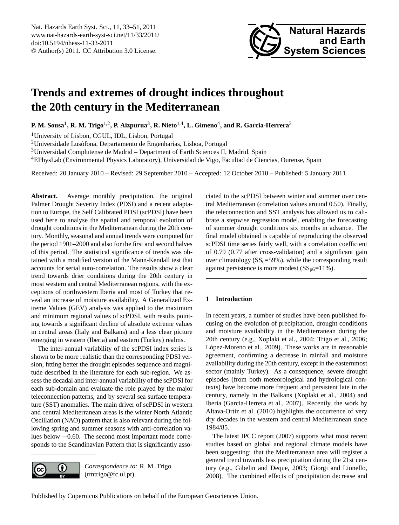# <span id="page-0-0"></span>**Trends and extremes of drought indices throughout the 20th century in the Mediterranean**

**P. M. Sousa**<sup>1</sup> **, R. M. Trigo**1,2**, P. Aizpurua**<sup>3</sup> **, R. Nieto**1,4**, L. Gimeno**<sup>4</sup> **, and R. Garcia-Herrera**<sup>3</sup>

<sup>1</sup>University of Lisbon, CGUL, IDL, Lisbon, Portugal

<sup>2</sup>Universidade Lusófona, Departamento de Engenharias, Lisboa, Portugal

<sup>3</sup>Universidad Complutense de Madrid – Department of Earth Sciences II, Madrid, Spain

<sup>4</sup>EPhysLab (Environmental Physics Laboratory), Universidad de Vigo, Facultad de Ciencias, Ourense, Spain

Received: 20 January 2010 – Revised: 29 September 2010 – Accepted: 12 October 2010 – Published: 5 January 2011

Abstract. Average monthly precipitation, the original Palmer Drought Severity Index (PDSI) and a recent adaptation to Europe, the Self Calibrated PDSI (scPDSI) have been used here to analyse the spatial and temporal evolution of drought conditions in the Mediterranean during the 20th century. Monthly, seasonal and annual trends were computed for the period 1901–2000 and also for the first and second halves of this period. The statistical significance of trends was obtained with a modified version of the Mann-Kendall test that accounts for serial auto-correlation. The results show a clear trend towards drier conditions during the 20th century in most western and central Mediterranean regions, with the exceptions of northwestern Iberia and most of Turkey that reveal an increase of moisture availability. A Generalized Extreme Values (GEV) analysis was applied to the maximum and minimum regional values of scPDSI, with results pointing towards a significant decline of absolute extreme values in central areas (Italy and Balkans) and a less clear picture emerging in western (Iberia) and eastern (Turkey) realms.

The inter-annual variability of the scPDSI index series is shown to be more realistic than the corresponding PDSI version, fitting better the drought episodes sequence and magnitude described in the literature for each sub-region. We assess the decadal and inter-annual variability of the scPDSI for each sub-domain and evaluate the role played by the major teleconnection patterns, and by several sea surface temperature (SST) anomalies. The main driver of scPDSI in western and central Mediterranean areas is the winter North Atlantic Oscillation (NAO) pattern that is also relevant during the following spring and summer seasons with anti-correlation values below −0.60. The second most important mode corresponds to the Scandinavian Pattern that is significantly asso-



*Correspondence to:* R. M. Trigo (rmtrigo@fc.ul.pt)

ciated to the scPDSI between winter and summer over central Mediterranean (correlation values around 0.50). Finally, the teleconnection and SST analysis has allowed us to calibrate a stepwise regression model, enabling the forecasting of summer drought conditions six months in advance. The final model obtained is capable of reproducing the observed scPDSI time series fairly well, with a correlation coefficient of 0.79 (0.77 after cross-validation) and a significant gain over climatology  $(SS<sub>c</sub>=59%)$ , while the corresponding result against persistence is more modest  $(SS<sub>p6</sub>=11$ %).

# **1 Introduction**

In recent years, a number of studies have been published focusing on the evolution of precipitation, drought conditions and moisture availability in the Mediterranean during the 20th century (e.g., Xoplaki et al., 2004; Trigo et al., 2006; López-Moreno et al., 2009). These works are in reasonable agreement, confirming a decrease in rainfall and moisture availability during the 20th century, except in the easternmost sector (mainly Turkey). As a consequence, severe drought episodes (from both meteorological and hydrological contexts) have become more frequent and persistent late in the century, namely in the Balkans (Xoplaki et al., 2004) and Iberia (Garcia-Herrera et al., 2007). Recently, the work by Altava-Ortiz et al. (2010) highlights the occurrence of very dry decades in the western and central Mediterranean since 1984/85.

The latest IPCC report (2007) supports what most recent studies based on global and regional climate models have been suggesting: that the Mediterranean area will register a general trend towards less precipitation during the 21st century (e.g., Gibelin and Deque, 2003; Giorgi and Lionello, 2008). The combined effects of precipitation decrease and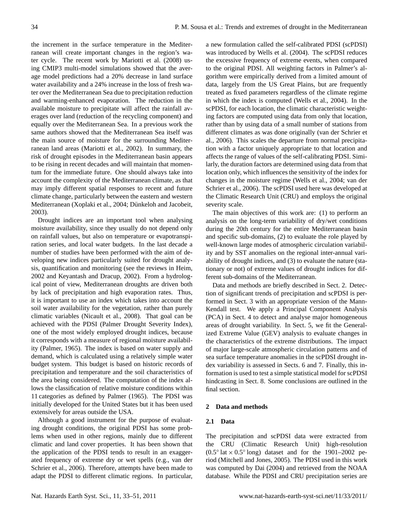the increment in the surface temperature in the Mediterranean will create important changes in the region's water cycle. The recent work by Mariotti et al. (2008) using CMIP3 multi-model simulations showed that the average model predictions had a 20% decrease in land surface water availability and a 24% increase in the loss of fresh water over the Mediterranean Sea due to precipitation reduction and warming-enhanced evaporation. The reduction in the available moisture to precipitate will affect the rainfall averages over land (reduction of the recycling component) and equally over the Mediterranean Sea. In a previous work the same authors showed that the Mediterranean Sea itself was the main source of moisture for the surrounding Mediterranean land areas (Mariotti et al., 2002). In summary, the risk of drought episodes in the Mediterranean basin appears to be rising in recent decades and will maintain that momentum for the immediate future. One should always take into account the complexity of the Mediterranean climate, as that may imply different spatial responses to recent and future climate change, particularly between the eastern and western Mediterranean (Xoplaki et al., 2004; Dünkeloh and Jacobeit, 2003).

Drought indices are an important tool when analysing moisture availability, since they usually do not depend only on rainfall values, but also on temperature or evapotranspiration series, and local water budgets. In the last decade a number of studies have been performed with the aim of developing new indices particularly suited for drought analysis, quantification and monitoring (see the reviews in Heim, 2002 and Keyantash and Dracup, 2002). From a hydrological point of view, Mediterranean droughts are driven both by lack of precipitation and high evaporation rates. Thus, it is important to use an index which takes into account the soil water availability for the vegetation, rather than purely climatic variables (Nicault et al., 2008). That goal can be achieved with the PDSI (Palmer Drought Severity Index), one of the most widely employed drought indices, because it corresponds with a measure of regional moisture availability (Palmer, 1965). The index is based on water supply and demand, which is calculated using a relatively simple water budget system. This budget is based on historic records of precipitation and temperature and the soil characteristics of the area being considered. The computation of the index allows the classification of relative moisture conditions within 11 categories as defined by Palmer (1965). The PDSI was initially developed for the United States but it has been used extensively for areas outside the USA.

Although a good instrument for the purpose of evaluating drought conditions, the original PDSI has some problems when used in other regions, mainly due to different climatic and land cover properties. It has been shown that the application of the PDSI tends to result in an exaggerated frequency of extreme dry or wet spells (e.g., van der Schrier et al., 2006). Therefore, attempts have been made to adapt the PDSI to different climatic regions. In particular, a new formulation called the self-calibrated PDSI (scPDSI) was introduced by Wells et al. (2004). The scPDSI reduces the excessive frequency of extreme events, when compared to the original PDSI. All weighting factors in Palmer's algorithm were empirically derived from a limited amount of data, largely from the US Great Plains, but are frequently treated as fixed parameters regardless of the climate regime in which the index is computed (Wells et al., 2004). In the scPDSI, for each location, the climatic characteristic weighting factors are computed using data from only that location, rather than by using data of a small number of stations from different climates as was done originally (van der Schrier et al., 2006). This scales the departure from normal precipitation with a factor uniquely appropriate to that location and affects the range of values of the self-calibrating PDSI. Similarly, the duration factors are determined using data from that location only, which influences the sensitivity of the index for changes in the moisture regime (Wells et al., 2004; van der Schrier et al., 2006). The scPDSI used here was developed at the Climatic Research Unit (CRU) and employs the original severity scale.

The main objectives of this work are: (1) to perform an analysis on the long-term variability of dry/wet conditions during the 20th century for the entire Mediterranean basin and specific sub-domains, (2) to evaluate the role played by well-known large modes of atmospheric circulation variability and by SST anomalies on the regional inter-annual variability of drought indices, and (3) to evaluate the nature (stationary or not) of extreme values of drought indices for different sub-domains of the Mediterranean.

Data and methods are briefly described in Sect. 2. Detection of significant trends of precipitation and scPDSI is performed in Sect. 3 with an appropriate version of the Mann-Kendall test. We apply a Principal Component Analysis (PCA) in Sect. 4 to detect and analyse major homogeneous areas of drought variability. In Sect. 5, we fit the Generalized Extreme Value (GEV) analysis to evaluate changes in the characteristics of the extreme distributions. The impact of major large-scale atmospheric circulation patterns and of sea surface temperature anomalies in the scPDSI drought index variability is assessed in Sects. 6 and 7. Finally, this information is used to test a simple statistical model for scPDSI hindcasting in Sect. 8. Some conclusions are outlined in the final section.

# **2 Data and methods**

# **2.1 Data**

The precipitation and scPDSI data were extracted from the CRU (Climatic Research Unit) high-resolution (0.5 $\degree$  lat × 0.5 $\degree$  long) dataset and for the 1901–2002 period (Mitchell and Jones, 2005). The PDSI used in this work was computed by Dai (2004) and retrieved from the NOAA database. While the PDSI and CRU precipitation series are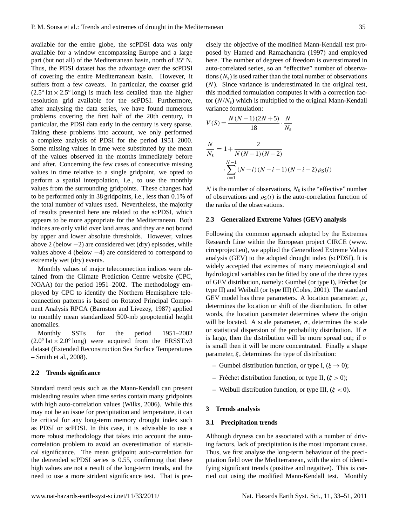available for the entire globe, the scPDSI data was only available for a window encompassing Europe and a large part (but not all) of the Mediterranean basin, north of 35° N. Thus, the PDSI dataset has the advantage over the scPDSI of covering the entire Mediterranean basin. However, it suffers from a few caveats. In particular, the coarser grid  $(2.5°)$  lat  $\times$  2.5° long) is much less detailed than the higher resolution grid available for the scPDSI. Furthermore, after analysing the data series, we have found numerous problems covering the first half of the 20th century, in particular, the PDSI data early in the century is very sparse. Taking these problems into account, we only performed a complete analysis of PDSI for the period 1951–2000. Some missing values in time were substituted by the mean of the values observed in the months immediately before and after. Concerning the few cases of consecutive missing values in time relative to a single gridpoint, we opted to perform a spatial interpolation, i.e., to use the monthly values from the surrounding gridpoints. These changes had to be performed only in 38 gridpoints, i.e., less than 0.1% of the total number of values used. Nevertheless, the majority of results presented here are related to the scPDSI, which appears to be more appropriate for the Mediterranean. Both indices are only valid over land areas, and they are not bound by upper and lower absolute thresholds. However, values above 2 (below  $-2$ ) are considered wet (dry) episodes, while values above 4 (below −4) are considered to correspond to extremely wet (dry) events.

Monthly values of major teleconnection indices were obtained from the Climate Prediction Centre website (CPC, NOAA) for the period 1951–2002. The methodology employed by CPC to identify the Northern Hemisphere teleconnection patterns is based on Rotated Principal Component Analysis RPCA (Barnston and Livezey, 1987) applied to monthly mean standardized 500-mb geopotential height anomalies.

Monthly SSTs for the period 1951–2002  $(2.0°)$  lat  $\times$  2.0° long) were acquired from the ERSST.v3 dataset (Extended Reconstruction Sea Surface Temperatures – Smith et al., 2008).

# **2.2 Trends significance**

Standard trend tests such as the Mann-Kendall can present misleading results when time series contain many gridpoints with high auto-correlation values (Wilks, 2006). While this may not be an issue for precipitation and temperature, it can be critical for any long-term memory drought index such as PDSI or scPDSI. In this case, it is advisable to use a more robust methodology that takes into account the autocorrelation problem to avoid an overestimation of statistical significance. The mean gridpoint auto-correlation for the detrended scPDSI series is 0.55, confirming that these high values are not a result of the long-term trends, and the need to use a more strident significance test. That is precisely the objective of the modified Mann-Kendall test proposed by Hamed and Ramachandra (1997) and employed here. The number of degrees of freedom is overestimated in auto-correlated series, so an "effective" number of observations  $(N_s)$  is used rather than the total number of observations (N). Since variance is underestimated in the original test, this modified formulation computes it with a correction factor  $(N/N<sub>s</sub>)$  which is multiplied to the original Mann-Kendall variance formulation:

$$
V(S) = \frac{N(N-1)(2N+5)}{18} \cdot \frac{N}{N_s}
$$
  

$$
\frac{N}{N_s} = 1 + \frac{2}{N(N-1)(N-2)}
$$
  

$$
\sum_{i=1}^{N-1} (N-i)(N-i-1)(N-i-2)\rho_S(i)
$$

 $N$  is the number of observations,  $N_s$  is the "effective" number of observations and  $\rho_S(i)$  is the auto-correlation function of the ranks of the observations.

#### **2.3 Generalized Extreme Values (GEV) analysis**

Following the common approach adopted by the Extremes Research Line within the European project CIRCE [\(www.](www.circeproject.eu) [circeproject.eu\)](www.circeproject.eu), we applied the Generalized Extreme Values analysis (GEV) to the adopted drought index (scPDSI). It is widely accepted that extremes of many meteorological and hydrological variables can be fitted by one of the three types of GEV distribution, namely: Gumbel (or type I), Fréchet (or type II) and Weibull (or type III) (Coles, 2001). The standard GEV model has three parameters. A location parameter,  $\mu$ , determines the location or shift of the distribution. In other words, the location parameter determines where the origin will be located. A scale parameter,  $\sigma$ , determines the scale or statistical dispersion of the probability distribution. If  $\sigma$ is large, then the distribution will be more spread out; if  $\sigma$ is small then it will be more concentrated. Finally a shape parameter,  $\xi$ , determines the type of distribution:

- **–** Gumbel distribution function, or type I,  $(\xi \rightarrow 0)$ ;
- **–** Fréchet distribution function, or type II,  $(\xi > 0)$ ;
- **–** Weibull distribution function, or type III, (ξ < 0).

#### **3 Trends analysis**

#### **3.1 Precipitation trends**

Although dryness can be associated with a number of driving factors, lack of precipitation is the most important cause. Thus, we first analyse the long-term behaviour of the precipitation field over the Mediterranean, with the aim of identifying significant trends (positive and negative). This is carried out using the modified Mann-Kendall test. Monthly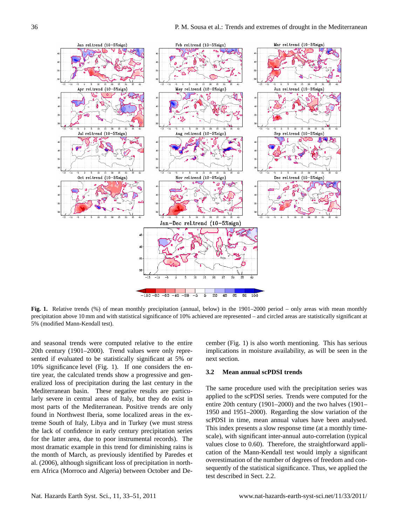

**Fig. 1.** Relative trends (%) of mean monthly precipitation (annual, below) in the 1901–2000 period – only areas with mean monthly precipitation above 10 mm and with statistical significance of 10% achieved are represented – and circled areas are statistically significant at 5% (modified Mann-Kendall test).

and seasonal trends were computed relative to the entire 20th century (1901–2000). Trend values were only represented if evaluated to be statistically significant at 5% or 10% significance level (Fig. 1). If one considers the entire year, the calculated trends show a progressive and generalized loss of precipitation during the last century in the Mediterranean basin. These negative results are particularly severe in central areas of Italy, but they do exist in most parts of the Mediterranean. Positive trends are only found in Northwest Iberia, some localized areas in the extreme South of Italy, Libya and in Turkey (we must stress the lack of confidence in early century precipitation series for the latter area, due to poor instrumental records). The most dramatic example in this trend for diminishing rains is the month of March, as previously identified by Paredes et al. (2006), although significant loss of precipitation in northern Africa (Morroco and Algeria) between October and De-

cember (Fig. 1) is also worth mentioning. This has serious implications in moisture availability, as will be seen in the next section.

#### **3.2 Mean annual scPDSI trends**

The same procedure used with the precipitation series was applied to the scPDSI series. Trends were computed for the entire 20th century (1901–2000) and the two halves (1901– 1950 and 1951–2000). Regarding the slow variation of the scPDSI in time, mean annual values have been analysed. This index presents a slow response time (at a monthly timescale), with significant inter-annual auto-correlation (typical values close to 0.60). Therefore, the straightforward application of the Mann-Kendall test would imply a significant overestimation of the number of degrees of freedom and consequently of the statistical significance. Thus, we applied the test described in Sect. 2.2.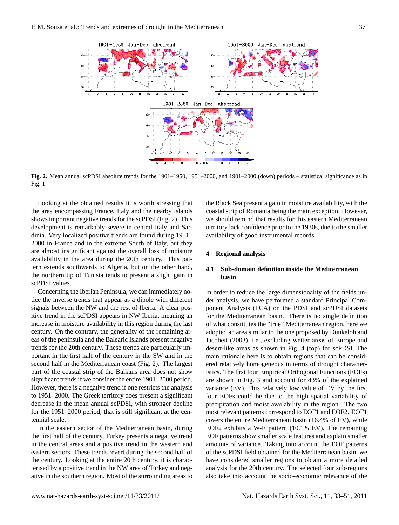

**Fig. 2.** Mean annual scPDSI absolute trends for the 1901–1950, 1951–2000, and 1901–2000 (down) periods – statistical significance as in Fig. 1.

Looking at the obtained results it is worth stressing that the area encompassing France, Italy and the nearby islands shows important negative trends for the scPDSI (Fig. 2). This development is remarkably severe in central Italy and Sardinia. Very localized positive trends are found during 1951– 2000 in France and in the extreme South of Italy, but they are almost insignificant against the overall loss of moisture availability in the area during the 20th century. This pattern extends southwards to Algeria, but on the other hand, the northern tip of Tunisia tends to present a slight gain in scPDSI values.

Concerning the Iberian Peninsula, we can immediately notice the inverse trends that appear as a dipole with different signals between the NW and the rest of Iberia. A clear positive trend in the scPDSI appears in NW Iberia, meaning an increase in moisture availability in this region during the last century. On the contrary, the generality of the remaining areas of the peninsula and the Balearic Islands present negative trends for the 20th century. These trends are particularly important in the first half of the century in the SW and in the second half in the Mediterranean coast (Fig. 2). The largest part of the coastal strip of the Balkans area does not show significant trends if we consider the entire 1901–2000 period. However, there is a negative trend if one restricts the analysis to 1951–2000. The Greek territory does present a significant decrease in the mean annual scPDSI, with stronger decline for the 1951–2000 period, that is still significant at the centennial scale.

In the eastern sector of the Mediterranean basin, during the first half of the century, Turkey presents a negative trend in the central areas and a positive trend in the western and eastern sectors. These trends revert during the second half of the century. Looking at the entire 20th century, it is characterised by a positive trend in the NW area of Turkey and negative in the southern region. Most of the surrounding areas to

the Black Sea present a gain in moisture availability, with the coastal strip of Romania being the main exception. However, we should remind that results for this eastern Mediterranean territory lack confidence prior to the 1930s, due to the smaller availability of good instrumental records.

# **4 Regional analysis**

# **4.1 Sub-domain definition inside the Mediterranean basin**

of the scPDSI field obtained for the Mediterranean basin, we In order to reduce the large dimensionality of the fields under analysis, we have performed a standard Principal Component Analysis (PCA) on the PDSI and scPDSI datasets for the Mediterranean basin. There is no single definition of what constitutes the "true" Mediterranean region, here we adopted an area similar to the one proposed by Dünkeloh and Jacobeit (2003), i.e., excluding wetter areas of Europe and desert-like areas as shown in Fig. 4 (top) for scPDSI. The main rationale here is to obtain regions that can be considered relatively homogeneous in terms of drought characteristics. The first four Empirical Orthogonal Functions (EOFs) are shown in Fig. 3 and account for 43% of the explained variance (EV). This relatively low value of EV by the first four EOFs could be due to the high spatial variability of precipitation and moist availability in the region. The two most relevant patterns correspond to EOF1 and EOF2. EOF1 covers the entire Mediterranean basin (16.4% of EV), while EOF2 exhibits a W-E pattern (10.1% EV). The remaining EOF patterns show smaller scale features and explain smaller amounts of variance. Taking into account the EOF patterns have considered smaller regions to obtain a more detailed analysis for the 20th century. The selected four sub-regions also take into account the socio-economic relevance of the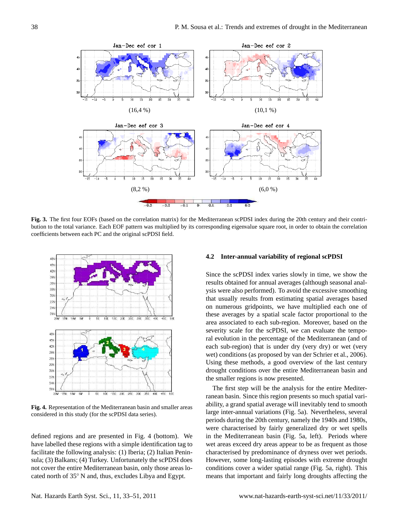

**Fig. 3.** The first four EOFs (based on the correlation matrix) for the Mediterranean scPDSI index during the 20th century and their contribution to the total variance. Each EOF pattern was multiplied by its corresponding eigenvalue square root, in order to obtain the correlation coefficients between each PC and the original scPDSI field.



**Figure 4** considered in this study (for the scPDSI data series). **Fig. 4.** Representation of the Mediterranean basin and smaller areas

defined regions and are presented in Fig. 4 (bottom). We have labelled these regions with a simple identification tag to facilitate the following analysis: (1) Iberia; (2) Italian Peninsula; (3) Balkans; (4) Turkey. Unfortunately the scPDSI does not cover the entire Mediterranean basin, only those areas located north of 35◦ N and, thus, excludes Libya and Egypt.

#### **4.2 Inter-annual variability of regional scPDSI**

Since the scPDSI index varies slowly in time, we show the results obtained for annual averages (although seasonal analysis were also performed). To avoid the excessive smoothing that usually results from estimating spatial averages based on numerous gridpoints, we have multiplied each one of these averages by a spatial scale factor proportional to the area associated to each sub-region. Moreover, based on the severity scale for the scPDSI, we can evaluate the temporal evolution in the percentage of the Mediterranean (and of each sub-region) that is under dry (very dry) or wet (very wet) conditions (as proposed by van der Schrier et al., 2006). Using these methods, a good overview of the last century drought conditions over the entire Mediterranean basin and the smaller regions is now presented.

conditions cover a wider spatial range (Fig. 5a, right). This The first step will be the analysis for the entire Mediterranean basin. Since this region presents so much spatial variability, a grand spatial average will inevitably tend to smooth large inter-annual variations (Fig. 5a). Nevertheless, several periods during the 20th century, namely the 1940s and 1980s, were characterised by fairly generalized dry or wet spells in the Mediterranean basin (Fig. 5a, left). Periods where wet areas exceed dry areas appear to be as frequent as those characterised by predominance of dryness over wet periods. However, some long-lasting episodes with extreme drought means that important and fairly long droughts affecting the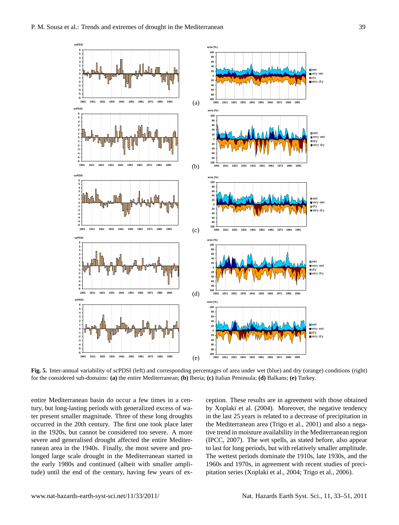**-6 -5 -4 -3 -2 -1 0 1 2 3 4 5 6**

**scPDSI**

**-6 -5 -4 -3 -2 -1 0 1 2 3 4 5 6**

**scPDSI**

**-6 -5 -4 -3 -2 -1 0 1 2 3 4 5 6**

**scPDSI**

**-6 -5 -4 -3 -2 -1 0 1 2 3 4 5 6**

**scPDSI**

**-6 -5 -4 -3 -2 -1 0 1 2 3 4 5 6**

**scPDSI**



**1901 1911 1921 1931 1941 1951 1961 1971 1981 1991**

**1901 1911 1921 1931 1941 1951 1961 1971 1981 1991**

**Fig. 5.** Inter-annual variability of scPDSI (left) and corresponding percentages of area under wet (blue) and dry (orange) conditions (right) for the considered sub-domains: **(a)** the entire Mediterranean; **(b)** Iberia; **(c)** Italian Peninsula; **(d)** Balkans; **(e)** Turkey.

(e)

(d)

**-100 -80 -60**

**area (%)**

**-100 -80 -60 -40 -20 0 20 40 60 80 100**

entire Mediterranean basin do occur a few times in a century, but long-lasting periods with generalized excess of water present smaller magnitude. Three of these long droughts occurred in the 20th century. The first one took place later in the 1920s, but cannot be considered too severe. A more severe and generalised drought affected the entire Mediterranean area in the 1940s. Finally, the most severe and prolonged large scale drought in the Mediterranean started in the early 1980s and continued (albeit with smaller amplitude) until the end of the century, having few years of ex-

**1901 1911 1921 1931 1941 1951 1961 1971 1981 1991**

**1901 1911 1921 1931 1941 1951 1961 1971 1981 1991**

by Xoplaki et al. (2004). Moreover, the negative tendency ception. These results are in agreement with those obtained in the last 25 years is related to a decrease of precipitation in the Mediterranean area (Trigo et al., 2001) and also a negative trend in moisture availability in the Mediterranean region (IPCC, 2007). The wet spells, as stated before, also appear to last for long periods, but with relatively smaller amplitude. The wettest periods dominate the 1910s, late 1930s, and the 1960s and 1970s, in agreement with recent studies of precipitation series (Xoplaki et al., 2004; Trigo et al., 2006).

wet very wet **D** dry very dry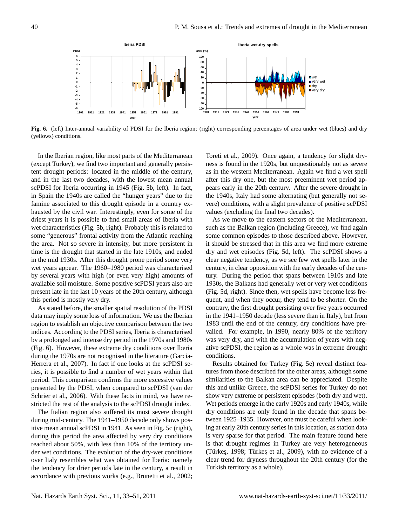

**Fig. 6.** (left) Inter-annual variability of PDSI for the Iberia region; (right) corresponding percentages of area under wet (blues) and dry (yellows) conditions.

In the Iberian region, like most parts of the Mediterranean (except Turkey), we find two important and generally persistent drought periods: located in the middle of the century, and in the last two decades, with the lowest mean annual scPDSI for Iberia occurring in 1945 (Fig. 5b, left). In fact, in Spain the 1940s are called the "hunger years" due to the famine associated to this drought episode in a country exhausted by the civil war. Interestingly, even for some of the driest years it is possible to find small areas of Iberia with wet characteristics (Fig. 5b, right). Probably this is related to some "generous" frontal activity from the Atlantic reaching the area. Not so severe in intensity, but more persistent in time is the drought that started in the late 1910s, and ended in the mid 1930s. After this drought prone period some very wet years appear. The 1960–1980 period was characterised by several years with high (or even very high) amounts of available soil moisture. Some positive scPDSI years also are present late in the last 10 years of the 20th century, although this period is mostly very dry.

As stated before, the smaller spatial resolution of the PDSI data may imply some loss of information. We use the Iberian region to establish an objective comparison between the two indices. According to the PDSI series, Iberia is characterised by a prolonged and intense dry period in the 1970s and 1980s (Fig. 6). However, these extreme dry conditions over Iberia during the 1970s are not recognised in the literature (Garcia-Herrera et al., 2007). In fact if one looks at the scPDSI series, it is possible to find a number of wet years within that period. This comparison confirms the more excessive values presented by the PDSI, when compared to scPDSI (van der Schrier et al., 2006). With these facts in mind, we have restricted the rest of the analysis to the scPDSI drought index.

The Italian region also suffered its most severe drought during mid-century. The 1941–1950 decade only shows positive mean annual scPDSI in 1941. As seen in Fig. 5c (right), during this period the area affected by very dry conditions reached about 50%, with less than 10% of the territory under wet conditions. The evolution of the dry-wet conditions over Italy resembles what was obtained for Iberia: namely the tendency for drier periods late in the century, a result in accordance with previous works (e.g., Brunetti et al., 2002; Toreti et al., 2009). Once again, a tendency for slight dryness is found in the 1920s, but unquestionably not as severe as in the western Mediterranean. Again we find a wet spell after this dry one, but the most preeminent wet period appears early in the 20th century. After the severe drought in the 1940s, Italy had some alternating (but generally not severe) conditions, with a slight prevalence of positive scPDSI values (excluding the final two decades).

As we move to the eastern sectors of the Mediterranean, such as the Balkan region (including Greece), we find again some common episodes to those described above. However, it should be stressed that in this area we find more extreme dry and wet episodes (Fig. 5d, left). The scPDSI shows a clear negative tendency, as we see few wet spells later in the century, in clear opposition with the early decades of the century. During the period that spans between 1910s and late 1930s, the Balkans had generally wet or very wet conditions (Fig. 5d, right). Since then, wet spells have become less frequent, and when they occur, they tend to be shorter. On the contrary, the first drought persisting over five years occurred in the 1941–1950 decade (less severe than in Italy), but from 1983 until the end of the century, dry conditions have prevailed. For example, in 1990, nearly 80% of the territory was very dry, and with the accumulation of years with negative scPDSI, the region as a whole was in extreme drought conditions.

(Türkeş, 1998; Türkeş et al., 2009), with no evidence of a Results obtained for Turkey (Fig. 5e) reveal distinct features from those described for the other areas, although some similarities to the Balkan area can be appreciated. Despite this and unlike Greece, the scPDSI series for Turkey do not show very extreme or persistent episodes (both dry and wet). Wet periods emerge in the early 1920s and early 1940s, while dry conditions are only found in the decade that spans between 1925–1935. However, one must be careful when looking at early 20th century series in this location, as station data is very sparse for that period. The main feature found here is that drought regimes in Turkey are very heterogeneous clear trend for dryness throughout the 20th century (for the Turkish territory as a whole).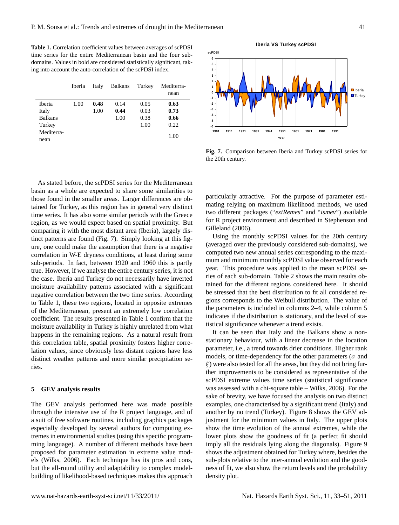**Table 1.** Correlation coefficient values between averages of scPDSI time series for the entire Mediterranean basin and the four subdomains. Values in bold are considered statistically significant, taking into account the auto-correlation of the scPDSI index.

|                    | Iberia | Italy | <b>Balkans</b> | Turkey | Mediterra-<br>nean |
|--------------------|--------|-------|----------------|--------|--------------------|
| Iberia             | 1.00   | 0.48  | 0.14           | 0.05   | 0.63               |
| Italy              |        | 1.00  | 0.44           | 0.03   | 0.73               |
| <b>Balkans</b>     |        |       | 1.00           | 0.38   | 0.66               |
| Turkey             |        |       |                | 1.00   | 0.22               |
| Mediterra-<br>nean |        |       |                |        | 1.00               |

As stated before, the scPDSI series for the Mediterranean basin as a whole are expected to share some similarities to those found in the smaller areas. Larger differences are obtained for Turkey, as this region has in general very distinct time series. It has also some similar periods with the Greece region, as we would expect based on spatial proximity. But comparing it with the most distant area (Iberia), largely distinct patterns are found (Fig. 7). Simply looking at this figure, one could make the assumption that there is a negative correlation in W-E dryness conditions, at least during some sub-periods. In fact, between 1920 and 1960 this is partly true. However, if we analyse the entire century series, it is not the case. Iberia and Turkey do not necessarily have inverted moisture availability patterns associated with a significant negative correlation between the two time series. According to Table 1, these two regions, located in opposite extremes of the Mediterranean, present an extremely low correlation coefficient. The results presented in Table 1 confirm that the moisture availability in Turkey is highly unrelated from what happens in the remaining regions. As a natural result from this correlation table, spatial proximity fosters higher correlation values, since obviously less distant regions have less distinct weather patterns and more similar precipitation series.

#### **5 GEV analysis results**

The GEV analysis performed here was made possible through the intensive use of the R project language, and of a suit of free software routines, including graphics packages especially developed by several authors for computing extremes in environmental studies (using this specific programming language). A number of different methods have been proposed for parameter estimation in extreme value models (Wilks, 2006). Each technique has its pros and cons, but the all-round utility and adaptability to complex modelbuilding of likelihood-based techniques makes this approach



**Fig. 7.** Comparison between Iberia and Turkey scPDSI series for the 20th century.

particularly attractive. For the purpose of parameter estimating relying on maximum likelihood methods, we used two different packages ("*extRemes*" and "*ismev*") available for R project environment and described in Stephenson and Gilleland (2006).

Using the monthly scPDSI values for the 20th century (averaged over the previously considered sub-domains), we computed two new annual series corresponding to the maximum and minimum monthly scPDSI value observed for each year. This procedure was applied to the mean scPDSI series of each sub-domain. Table 2 shows the main results obtained for the different regions considered here. It should be stressed that the best distribution to fit all considered regions corresponds to the Weibull distribution. The value of the parameters is included in columns 2–4, while column 5 indicates if the distribution is stationary, and the level of statistical significance whenever a trend exists.

It can be seen that Italy and the Balkans show a nonstationary behaviour, with a linear decrease in the location parameter, i.e., a trend towards drier conditions. Higher rank models, or time-dependency for the other parameters ( $\sigma$  and  $\xi$ ) were also tested for all the areas, but they did not bring further improvements to be considered as representative of the scPDSI extreme values time series (statistical significance was assessed with a chi-square table – Wilks, 2006). For the sake of brevity, we have focused the analysis on two distinct examples, one characterised by a significant trend (Italy) and another by no trend (Turkey). Figure 8 shows the GEV adjustment for the minimum values in Italy. The upper plots show the time evolution of the annual extremes, while the lower plots show the goodness of fit (a perfect fit should imply all the residuals lying along the diagonals). Figure 9 shows the adjustment obtained for Turkey where, besides the sub-plots relative to the inter-annual evolution and the goodness of fit, we also show the return levels and the probability density plot.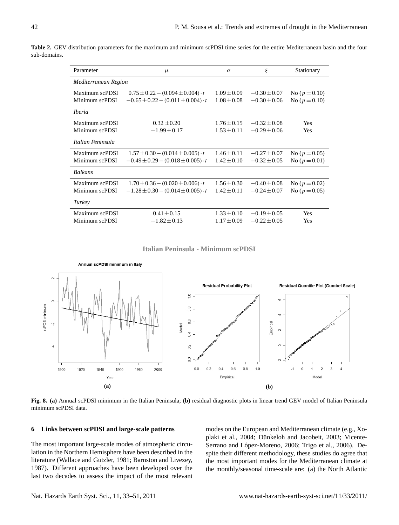| Parameter                        | $\mu$                                                                                       | $\sigma$                           | ξ                                    | Stationary                             |  |
|----------------------------------|---------------------------------------------------------------------------------------------|------------------------------------|--------------------------------------|----------------------------------------|--|
| Mediterranean Region             |                                                                                             |                                    |                                      |                                        |  |
| Maximum scPDSI<br>Minimum scPDSI | $0.75 \pm 0.22 - (0.094 \pm 0.004) \cdot t$<br>$-0.65 \pm 0.22 - (0.011 \pm 0.004) \cdot t$ | $1.09 \pm 0.09$<br>$1.08 \pm 0.08$ | $-0.30 \pm 0.07$<br>$-0.30 \pm 0.06$ | No ( $p = 0.10$ )<br>No ( $p = 0.10$ ) |  |
| <i><u><b>Iberia</b></u></i>      |                                                                                             |                                    |                                      |                                        |  |
| Maximum scPDSI<br>Minimum scPDSI | $0.32 \pm 0.20$<br>$-1.99 \pm 0.17$                                                         | $1.76 \pm 0.15$<br>$1.53 \pm 0.11$ | $-0.32 \pm 0.08$<br>$-0.29 \pm 0.06$ | Yes<br>Yes                             |  |
| Italian Peninsula                |                                                                                             |                                    |                                      |                                        |  |
| Maximum scPDSI<br>Minimum scPDSI | $1.57 \pm 0.30 - (0.014 \pm 0.005) \cdot t$<br>$-0.49 \pm 0.29 - (0.018 \pm 0.005) \cdot t$ | $1.46 \pm 0.11$<br>$1.42 \pm 0.10$ | $-0.27 \pm 0.07$<br>$-0.32 \pm 0.05$ | No ( $p = 0.05$ )<br>No ( $p = 0.01$ ) |  |
| <b>Balkans</b>                   |                                                                                             |                                    |                                      |                                        |  |
| Maximum scPDSI<br>Minimum scPDSI | $1.70 \pm 0.36 - (0.020 \pm 0.006) \cdot t$<br>$-1.28 \pm 0.30 - (0.014 \pm 0.005) \cdot t$ | $1.56 \pm 0.30$<br>$1.42 \pm 0.11$ | $-0.40 \pm 0.08$<br>$-0.24 \pm 0.07$ | No ( $p = 0.02$ )<br>No ( $p = 0.05$ ) |  |
| Turkey                           |                                                                                             |                                    |                                      |                                        |  |
| Maximum scPDSI<br>Minimum scPDSI | $0.41 \pm 0.15$<br>$-1.82 \pm 0.13$                                                         | $1.33 \pm 0.10$<br>$1.17 \pm 0.09$ | $-0.19 \pm 0.05$<br>$-0.22 \pm 0.05$ | Yes<br>Yes                             |  |

**Table 2.** GEV distribution parameters for the maximum and minimum scPDSI time series for the entire Mediterranean basin and the four sub-domains.

**Italian Peninsula - Minimum scPDSI Italian Peninsula - Minimum scPDSI**



**Fig. 8. (a)** Annual scPDSI minimum in the Italian Peninsula; **(b)** residual diagnostic plots in linear trend GEV model of Italian Peninsula minimum scPDSI data.

# **6 Links between scPDSI and large-scale patterns**

 literature (Wallace and Gutzler, 1981; Barnston and Livezey, The most important large-scale modes of atmospheric circulation in the Northern Hemisphere have been described in the 1987). Different approaches have been developed over the last two decades to assess the impact of the most relevant

modes on the European and Mediterranean climate (e.g., Xoplaki et al., 2004; Dünkeloh and Jacobeit, 2003; Vicente-Serrano and López-Moreno, 2006; Trigo et al., 2006). Despite their different methodology, these studies do agree that the most important modes for the Mediterranean climate at the monthly/seasonal time-scale are: (a) the North Atlantic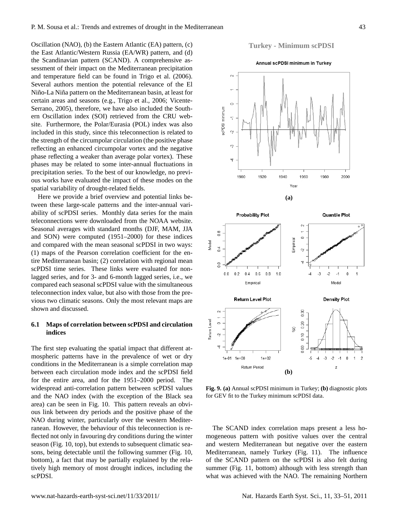Oscillation (NAO), (b) the Eastern Atlantic (EA) pattern, (c) the East Atlantic/Western Russia (EA/WR) pattern, and (d) the Scandinavian pattern (SCAND). A comprehensive assessment of their impact on the Mediterranean precipitation and temperature field can be found in Trigo et al. (2006). Several authors mention the potential relevance of the El Niño-La Niña pattern on the Mediterranean basin, at least for certain areas and seasons (e.g., Trigo et al., 2006; Vicente-Serrano, 2005), therefore, we have also included the Southern Oscillation index (SOI) retrieved from the CRU website. Furthermore, the Polar/Eurasia (POL) index was also included in this study, since this teleconnection is related to the strength of the circumpolar circulation (the positive phase reflecting an enhanced circumpolar vortex and the negative phase reflecting a weaker than average polar vortex). These phases may be related to some inter-annual fluctuations in precipitation series. To the best of our knowledge, no previous works have evaluated the impact of these modes on the spatial variability of drought-related fields.

Here we provide a brief overview and potential links between these large-scale patterns and the inter-annual variability of scPDSI series. Monthly data series for the main teleconnections were downloaded from the NOAA website. Seasonal averages with standard months (DJF, MAM, JJA and SON) were computed (1951–2000) for these indices and compared with the mean seasonal scPDSI in two ways: (1) maps of the Pearson correlation coefficient for the entire Mediterranean basin; (2) correlation with regional mean scPDSI time series. These links were evaluated for nonlagged series, and for 3- and 6-month lagged series, i.e., we compared each seasonal scPDSI value with the simultaneous teleconnection index value, but also with those from the previous two climatic seasons. Only the most relevant maps are shown and discussed.

# **6.1 Maps of correlation between scPDSI and circulation indices**

The first step evaluating the spatial impact that different atmospheric patterns have in the prevalence of wet or dry conditions in the Mediterranean is a simple correlation map between each circulation mode index and the scPDSI field for the entire area, and for the 1951–2000 period. The widespread anti-correlation pattern between scPDSI values and the NAO index (with the exception of the Black sea area) can be seen in Fig. 10. This pattern reveals an obvious link between dry periods and the positive phase of the NAO during winter, particularly over the western Mediterranean. However, the behaviour of this teleconnection is reflected not only in favouring dry conditions during the winter season (Fig. 10, top), but extends to subsequent climatic seasons, being detectable until the following summer (Fig. 10, bottom), a fact that may be partially explained by the relatively high memory of most drought indices, including the scPDSI.

# **Turkey - Minimum scPDSI**





**Fig. 9. (a)** Annual scPDSI minimum in Turkey; **(b)** diagnostic plots for GEV fit to the Turkey minimum scPDSI data.

The SCAND index correlation maps present a less homogeneous pattern with positive values over the central and western Mediterranean but negative over the eastern Mediterranean, namely Turkey (Fig. 11). The influence of the SCAND pattern on the scPDSI is also felt during summer (Fig. 11, bottom) although with less strength than what was achieved with the NAO. The remaining Northern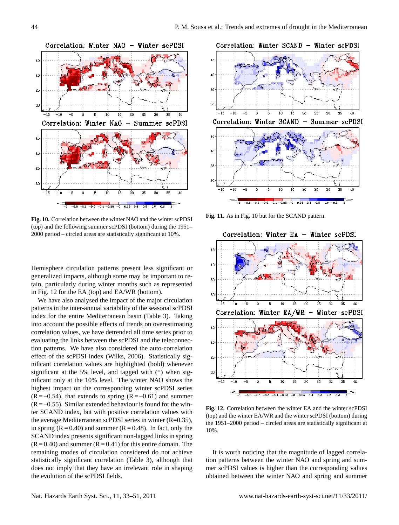

**Figure 10** 2000 period – circled areas are statistically significant at 10%. **Fig. 10.** Correlation between the winter NAO and the winter scPDSI (top) and the following summer scPDSI (bottom) during the 1951–

Hemisphere circulation patterns present less significant or generalized impacts, although some may be important to retain, particularly during winter months such as represented in Fig. 12 for the EA (top) and EA/WR (bottom).

We have also analysed the impact of the major circulation patterns in the inter-annual variability of the seasonal scPDSI index for the entire Mediterranean basin (Table 3). Taking into account the possible effects of trends on overestimating correlation values, we have detrended all time series prior to evaluating the links between the scPDSI and the teleconnection patterns. We have also considered the auto-correlation effect of the scPDSI index (Wilks, 2006). Statistically significant correlation values are highlighted (bold) whenever significant at the 5% level, and tagged with (\*) when significant only at the 10% level. The winter NAO shows the highest impact on the corresponding winter scPDSI series  $(R = -0.54)$ , that extends to spring  $(R = -0.61)$  and summer  $(R = -0.55)$ . Similar extended behaviour is found for the winter SCAND index, but with positive correlation values with the average Mediterranean scPDSI series in winter (R=0.35), in spring  $(R = 0.40)$  and summer  $(R = 0.48)$ . In fact, only the SCAND index presents significant non-lagged links in spring  $(R = 0.40)$  and summer  $(R = 0.41)$  for this entire domain. The remaining modes of circulation considered do not achieve statistically significant correlation (Table 3), although that does not imply that they have an irrelevant role in shaping the evolution of the scPDSI fields.



**Fig. 11.** As in Fig. 10 but for the SCAND pattern.



**Figure 12** the 1951–2000 period – circled areas are statistically significant at **Fig. 12.** Correlation between the winter EA and the winter scPDSI (top) and the winter EA/WR and the winter scPDSI (bottom) during 10%.

It is worth noticing that the magnitude of lagged correlation patterns between the winter NAO and spring and summer scPDSI values is higher than the corresponding values obtained between the winter NAO and spring and summer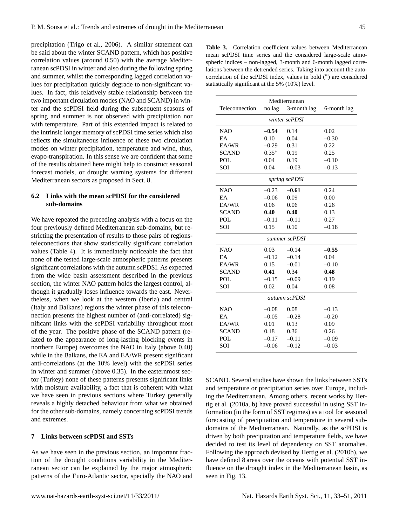precipitation (Trigo et al., 2006). A similar statement can be said about the winter SCAND pattern, which has positive correlation values (around 0.50) with the average Mediterranean scPDSI in winter and also during the following spring and summer, whilst the corresponding lagged correlation values for precipitation quickly degrade to non-significant values. In fact, this relatively stable relationship between the two important circulation modes (NAO and SCAND) in winter and the scPDSI field during the subsequent seasons of spring and summer is not observed with precipitation nor with temperature. Part of this extended impact is related to the intrinsic longer memory of scPDSI time series which also reflects the simultaneous influence of these two circulation modes on winter precipitation, temperature and wind, thus, evapo-transpiration. In this sense we are confident that some of the results obtained here might help to construct seasonal forecast models, or drought warning systems for different Mediterranean sectors as proposed in Sect. 8.

# **6.2 Links with the mean scPDSI for the considered sub-domains**

We have repeated the preceding analysis with a focus on the four previously defined Mediterranean sub-domains, but restricting the presentation of results to those pairs of regionsteleconections that show statistically significant correlation values (Table 4). It is immediately noticeable the fact that none of the tested large-scale atmospheric patterns presents significant correlations with the autumn scPDSI. As expected from the wide basin assessment described in the previous section, the winter NAO pattern holds the largest control, although it gradually loses influence towards the east. Nevertheless, when we look at the western (Iberia) and central (Italy and Balkans) regions the winter phase of this teleconnection presents the highest number of (anti-correlated) significant links with the scPDSI variability throughout most of the year. The positive phase of the SCAND pattern (related to the appearance of long-lasting blocking events in northern Europe) overcomes the NAO in Italy (above 0.40) while in the Balkans, the EA and EA/WR present significant anti-correlations (at the 10% level) with the scPDSI series in winter and summer (above 0.35). In the easternmost sector (Turkey) none of these patterns presents significant links with moisture availability, a fact that is coherent with what we have seen in previous sections where Turkey generally reveals a highly detached behaviour from what we obtained for the other sub-domains, namely concerning scPDSI trends and extremes.

# **7 Links between scPDSI and SSTs**

As we have seen in the previous section, an important fraction of the drought conditions variability in the Mediterranean sector can be explained by the major atmospheric patterns of the Euro-Atlantic sector, specially the NAO and

**Table 3.** Correlation coefficient values between Mediterranean mean scPDSI time series and the considered large-scale atmospheric indices – non-lagged, 3-month and 6-month lagged correlations between the detrended series. Taking into account the autocorrelation of the scPDSI index, values in bold (<sup>∗</sup> ) are considered statistically significant at the 5% (10%) level.

| Mediterranean  |               |             |             |  |  |
|----------------|---------------|-------------|-------------|--|--|
| Teleconnection | no lag        | 3-month lag | 6-month lag |  |  |
|                | winter scPDSI |             |             |  |  |
|                |               |             |             |  |  |
| <b>NAO</b>     | $-0.54$       | 0.14        | 0.02        |  |  |
| EA             | 0.10          | 0.04        | $-0.30$     |  |  |
| EA/WR          | $-0.29$       | 0.31        | 0.22        |  |  |
| <b>SCAND</b>   | $0.35*$       | 0.19        | 0.25        |  |  |
| <b>POL</b>     | 0.04          | 0.19        | $-0.10$     |  |  |
| SOI            | 0.04          | $-0.03$     | $-0.13$     |  |  |
| spring scPDSI  |               |             |             |  |  |
| <b>NAO</b>     | $-0.23$       | $-0.61$     | 0.24        |  |  |
| EA             | $-0.06$       | 0.09        | 0.00        |  |  |
| EA/WR          | 0.06          | 0.06        | 0.26        |  |  |
| <b>SCAND</b>   | 0.40          | 0.40        | 0.13        |  |  |
| <b>POL</b>     | $-0.11$       | $-0.11$     | 0.27        |  |  |
| SOI            | 0.15          | 0.10        | $-0.18$     |  |  |
| summer scPDSI  |               |             |             |  |  |
| <b>NAO</b>     | 0.03          | $-0.14$     | $-0.55$     |  |  |
| EA             | $-0.12$       | $-0.14$     | 0.04        |  |  |
| EA/WR          | 0.15          | $-0.01$     | $-0.10$     |  |  |
| <b>SCAND</b>   | 0.41          | 0.34        | 0.48        |  |  |
| <b>POL</b>     | $-0.15$       | $-0.09$     | 0.19        |  |  |
| SOI            | 0.02          | 0.04        | 0.08        |  |  |
| autumn scPDSI  |               |             |             |  |  |
| <b>NAO</b>     | $-0.08$       | 0.08        | $-0.13$     |  |  |
| EA             | $-0.05$       | $-0.28$     | $-0.20$     |  |  |
| EA/WR          | 0.01          | 0.13        | 0.09        |  |  |
| <b>SCAND</b>   | 0.18          | 0.36        | 0.26        |  |  |
| POL            | $-0.17$       | $-0.11$     | $-0.09$     |  |  |
| SOI            | $-0.06$       | $-0.12$     | $-0.03$     |  |  |

SCAND. Several studies have shown the links between SSTs and temperature or precipitation series over Europe, including the Mediterranean. Among others, recent works by Hertig et al. (2010a, b) have proved successful in using SST information (in the form of SST regimes) as a tool for seasonal forecasting of precipitation and temperature in several subdomains of the Mediterranean. Naturally, as the scPDSI is driven by both precipitation and temperature fields, we have decided to test its level of dependency on SST anomalies. Following the approach devised by Hertig et al. (2010b), we have defined 8 areas over the oceans with potential SST influence on the drought index in the Mediterranean basin, as seen in Fig. 13.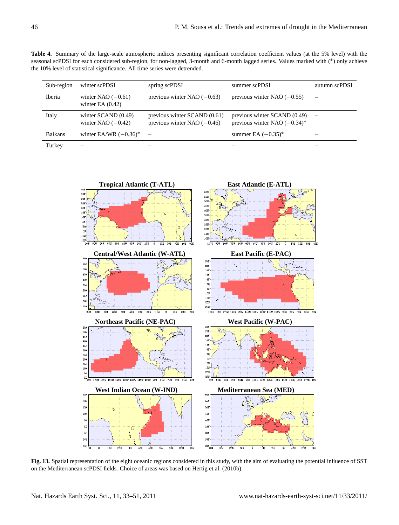**Table 4.** Summary of the large-scale atmospheric indices presenting significant correlation coefficient values (at the 5% level) with the seasonal scPDSI for each considered sub-region, for non-lagged, 3-month and 6-month lagged series. Values marked with (\*) only achieve the 10% level of statistical significance. All time series were detrended.

| Sub-region     | winter scPDSI                                | spring scPDSI                                                  | summer scPDSI                                                   | autumn scPDSI |
|----------------|----------------------------------------------|----------------------------------------------------------------|-----------------------------------------------------------------|---------------|
| Iberia         | winter NAO $(-0.61)$<br>winter EA $(0.42)$   | previous winter NAO $(-0.63)$                                  | previous winter NAO $(-0.55)$                                   |               |
| Italy          | winter $SCAND(0.49)$<br>winter NAO $(-0.42)$ | previous winter $SCAND(0.61)$<br>previous winter NAO $(-0.46)$ | previous winter SCAND (0.49)<br>previous winter NAO $(-0.34)^*$ |               |
| <b>Balkans</b> | winter EA/WR $(-0.36)^*$                     |                                                                | summer EA $(-0.35)^*$                                           |               |
| Turkey         |                                              |                                                                |                                                                 |               |



on the Mediterranean scPDSI fields. Choice of areas was based on Hertig et al. (2010b). **Fig. 13.** Spatial representation of the eight oceanic regions considered in this study, with the aim of evaluating the potential influence of SST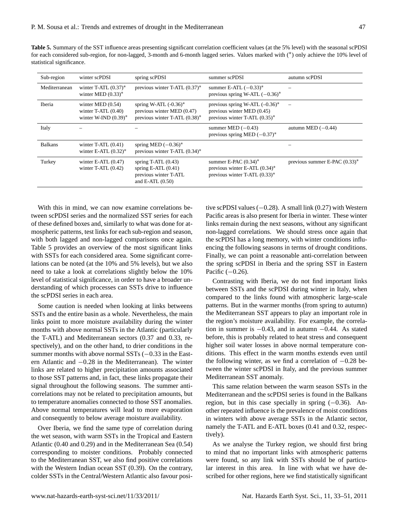**Table 5.** Summary of the SST influence areas presenting significant correlation coefficient values (at the 5% level) with the seasonal scPDSI for each considered sub-region, for non-lagged, 3-month and 6-month lagged series. Values marked with (<sup>∗</sup> ) only achieve the 10% level of statistical significance.

| Sub-region     | winter scPDSI                                                           | spring scPDSI                                                                               | summer scPDSI                                                                                       | autumn scPDSI                    |
|----------------|-------------------------------------------------------------------------|---------------------------------------------------------------------------------------------|-----------------------------------------------------------------------------------------------------|----------------------------------|
| Mediterranean  | winter T-ATL $(0.37)^*$<br>winter MED $(0.33)^*$                        | previous winter T-ATL $(0.37)^*$                                                            | summer E-ATL $(-0.33)^*$<br>previous spring W-ATL $(-0.36)^*$                                       |                                  |
| Iberia         | winter MED $(0.54)$<br>winter T-ATL $(0.40)$<br>winter W-IND $(0.39)^*$ | spring W-ATL $(-0.36)^*$<br>previous winter MED (0.47)<br>previous winter T-ATL $(0.38)^*$  | previous spring W-ATL $(-0.36)^*$<br>previous winter MED (0.45)<br>previous winter T-ATL $(0.35)^*$ |                                  |
| Italy          |                                                                         |                                                                                             | summer MED $(-0.43)$<br>previous spring MED $(-0.37)^*$                                             | autumn MED $(-0.44)$             |
| <b>Balkans</b> | winter T-ATL $(0.41)$<br>winter E-ATL $(0.32)^*$                        | spring MED $(-0.36)^*$<br>previous winter T-ATL $(0.34)^*$                                  |                                                                                                     |                                  |
| Turkey         | winter E-ATL $(0.47)$<br>winter T-ATL $(0.42)$                          | spring $T-ATL(0.43)$<br>spring $E-ATL(0.41)$<br>previous winter T-ATL<br>and E-ATL $(0.50)$ | summer E-PAC $(0.34)^*$<br>previous winter E-ATL $(0.34)^*$<br>previous winter T-ATL $(0.33)^*$     | previous summer E-PAC $(0.33)^*$ |

With this in mind, we can now examine correlations between scPDSI series and the normalized SST series for each of these defined boxes and, similarly to what was done for atmospheric patterns, test links for each sub-region and season, with both lagged and non-lagged comparisons once again. Table 5 provides an overview of the most significant links with SSTs for each considered area. Some significant correlations can be noted (at the 10% and 5% levels), but we also need to take a look at correlations slightly below the 10% level of statistical significance, in order to have a broader understanding of which processes can SSTs drive to influence the scPDSI series in each area.

Some caution is needed when looking at links betweens SSTs and the entire basin as a whole. Nevertheless, the main links point to more moisture availability during the winter months with above normal SSTs in the Atlantic (particularly the T-ATL) and Mediterranean sectors (0.37 and 0.33, respectively), and on the other hand, to drier conditions in the summer months with above normal SSTs (−0.33 in the Eastern Atlantic and −0.28 in the Mediterranean). The winter links are related to higher precipitation amounts associated to those SST patterns and, in fact, these links propagate their signal throughout the following seasons. The summer anticorrelations may not be related to precipitation amounts, but to temperature anomalies connected to those SST anomalies. Above normal temperatures will lead to more evaporation and consequently to below average moisture availability.

Over Iberia, we find the same type of correlation during the wet season, with warm SSTs in the Tropical and Eastern Atlantic (0.40 and 0.29) and in the Mediterranean Sea (0.54) corresponding to moister conditions. Probably connected to the Mediterranean SST, we also find positive correlations with the Western Indian ocean SST (0.39). On the contrary, colder SSTs in the Central/Western Atlantic also favour positive scPDSI values  $(-0.28)$ . A small link  $(0.27)$  with Western Pacific areas is also present for Iberia in winter. These winter links remain during the next seasons, without any significant non-lagged correlations. We should stress once again that the scPDSI has a long memory, with winter conditions influencing the following seasons in terms of drought conditions. Finally, we can point a reasonable anti-correlation between the spring scPDSI in Iberia and the spring SST in Eastern Pacific (-0.26).

Contrasting with Iberia, we do not find important links between SSTs and the scPDSI during winter in Italy, when compared to the links found with atmospheric large-scale patterns. But in the warmer months (from spring to autumn) the Mediterranean SST appears to play an important role in the region's moisture availability. For example, the correlation in summer is −0.43, and in autumn −0.44. As stated before, this is probably related to heat stress and consequent higher soil water losses in above normal temperature conditions. This effect in the warm months extends even until the following winter, as we find a correlation of −0.28 between the winter scPDSI in Italy, and the previous summer Mediterranean SST anomaly.

This same relation between the warm season SSTs in the Mediterranean and the scPDSI series is found in the Balkans region, but in this case specially in spring  $(-0.36)$ . Another repeated influence is the prevalence of moist conditions in winters with above average SSTs in the Atlantic sector, namely the T-ATL and E-ATL boxes (0.41 and 0.32, respectively).

As we analyse the Turkey region, we should first bring to mind that no important links with atmospheric patterns were found, so any link with SSTs should be of particular interest in this area. In line with what we have described for other regions, here we find statistically significant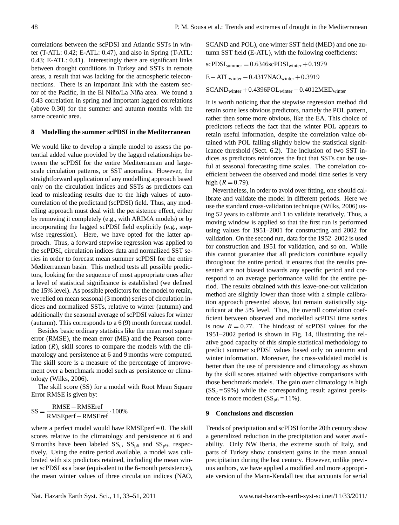correlations between the scPDSI and Atlantic SSTs in winter (T-ATL: 0.42; E-ATL: 0.47), and also in Spring (T-ATL: 0.43; E-ATL: 0.41). Interestingly there are significant links between drought conditions in Turkey and SSTs in remote areas, a result that was lacking for the atmospheric teleconnections. There is an important link with the eastern sector of the Pacific, in the El Niño/La Niña area. We found a 0.43 correlation in spring and important lagged correlations (above 0.30) for the summer and autumn months with the same oceanic area.

#### **8 Modelling the summer scPDSI in the Mediterranean**

We would like to develop a simple model to assess the potential added value provided by the lagged relationships between the scPDSI for the entire Mediterranean and largescale circulation patterns, or SST anomalies. However, the straightforward application of any modelling approach based only on the circulation indices and SSTs as predictors can lead to misleading results due to the high values of autocorrelation of the predictand (scPDSI) field. Thus, any modelling approach must deal with the persistence effect, either by removing it completely (e.g., with ARIMA models) or by incorporating the lagged scPDSI field explicitly (e.g., stepwise regression). Here, we have opted for the latter approach. Thus, a forward stepwise regression was applied to the scPDSI, circulation indices data and normalized SST series in order to forecast mean summer scPDSI for the entire Mediterranean basin. This method tests all possible predictors, looking for the sequence of most appropriate ones after a level of statistical significance is established (we defined the 15% level). As possible predictors for the model to retain, we relied on mean seasonal (3 month) series of circulation indices and normalized SSTs, relative to winter (autumn) and additionally the seasonal average of scPDSI values for winter (autumn). This corresponds to a 6 (9) month forecast model.

Besides basic ordinary statistics like the mean root square error (RMSE), the mean error (ME) and the Pearson correlation  $(R)$ , skill scores to compare the models with the climatology and persistence at 6 and 9 months were computed. The skill score is a measure of the percentage of improvement over a benchmark model such as persistence or climatology (Wilks, 2006).

The skill score (SS) for a model with Root Mean Square Error RMSE is given by:

$$
SS = \frac{RMSE - RMSEref}{RMSEperf - RMSEref} \cdot 100\%
$$

where a perfect model would have  $RMSEperf = 0$ . The skill scores relative to the climatology and persistence at 6 and 9 months have been labeled  $SS_c$ ,  $SS_{p6}$  and  $SS_{p9}$ , respectively. Using the entire period available, a model was calibrated with six predictors retained, including the mean winter scPDSI as a base (equivalent to the 6-month persistence), the mean winter values of three circulation indices (NAO, SCAND and POL), one winter SST field (MED) and one autumn SST field (E-ATL), with the following coefficients:

 $scPDSI<sub>sumer</sub> = 0.6346scPDSI<sub>writer</sub> + 0.1979$ 

 $E-ATL<sub>winter</sub> - 0.4317NAO<sub>winter</sub> + 0.3919$ 

 $SCAND<sub>winter</sub> + 0.4396POL<sub>winter</sub> - 0.4012MED<sub>winter</sub>$ 

It is worth noticing that the stepwise regression method did retain some less obvious predictors, namely the POL pattern, rather then some more obvious, like the EA. This choice of predictors reflects the fact that the winter POL appears to retain useful information, despite the correlation value obtained with POL falling slightly below the statistical significance threshold (Sect. 6.2). The inclusion of two SST indices as predictors reinforces the fact that SSTs can be useful at seasonal forecasting time scales. The correlation coefficient between the observed and model time series is very high ( $R = 0.79$ ).

Nevertheless, in order to avoid over fitting, one should calibrate and validate the model in different periods. Here we use the standard cross-validation technique (Wilks, 2006) using 52 years to calibrate and 1 to validate iteratively. Thus, a moving window is applied so that the first run is performed using values for 1951–2001 for constructing and 2002 for validation. On the second run, data for the 1952–2002 is used for construction and 1951 for validation, and so on. While this cannot guarantee that all predictors contribute equally throughout the entire period, it ensures that the results presented are not biased towards any specific period and correspond to an average performance valid for the entire period. The results obtained with this leave-one-out validation method are slightly lower than those with a simple calibration approach presented above, but remain statistically significant at the 5% level. Thus, the overall correlation coefficient between observed and modelled scPDSI time series is now  $R = 0.77$ . The hindcast of scPDSI values for the 1951–2002 period is shown in Fig. 14, illustrating the relative good capacity of this simple statistical methodology to predict summer scPDSI values based only on autumn and winter information. Moreover, the cross-validated model is better than the use of persistence and climatology as shown by the skill scores attained with objective comparisons with those benchmark models. The gain over climatology is high  $(SS<sub>c</sub> = 59%)$  while the corresponding result against persistence is more modest  $(SS<sub>06</sub> = 11\%)$ .

#### **9 Conclusions and discussion**

Trends of precipitation and scPDSI for the 20th century show a generalized reduction in the precipitation and water availability. Only NW Iberia, the extreme south of Italy, and parts of Turkey show consistent gains in the mean annual precipitation during the last century. However, unlike previous authors, we have applied a modified and more appropriate version of the Mann-Kendall test that accounts for serial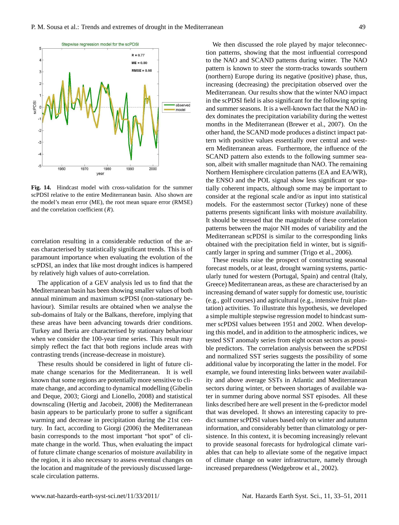

**Figure 14** scPDSI relative to the entire Mediterranean basin. Also shown are **Fig. 14.** Hindcast model with cross-validation for the summer the model's mean error (ME), the root mean square error (RMSE) and the correlation coefficient  $(R)$ .

correlation resulting in a considerable reduction of the areas characterised by statistically significant trends. This is of paramount importance when evaluating the evolution of the scPDSI, an index that like most drought indices is hampered by relatively high values of auto-correlation.

The application of a GEV analysis led us to find that the Mediterranean basin has been showing smaller values of both annual minimum and maximum scPDSI (non-stationary behaviour). Similar results are obtained when we analyse the sub-domains of Italy or the Balkans, therefore, implying that these areas have been advancing towards drier conditions. Turkey and Iberia are characterised by stationary behaviour when we consider the 100-year time series. This result may simply reflect the fact that both regions include areas with contrasting trends (increase-decrease in moisture).

These results should be considered in light of future climate change scenarios for the Mediterranean. It is well known that some regions are potentially more sensitive to climate change, and according to dynamical modelling (Gibelin and Deque, 2003; Giorgi and Lionello, 2008) and statistical downscaling (Hertig and Jacobeit, 2008) the Mediterranean basin appears to be particularly prone to suffer a significant warming and decrease in precipitation during the 21st century. In fact, according to Giorgi (2006) the Mediterranean basin corresponds to the most important "hot spot" of climate change in the world. Thus, when evaluating the impact of future climate change scenarios of moisture availability in the region, it is also necessary to assess eventual changes on the location and magnitude of the previously discussed largescale circulation patterns.

We then discussed the role played by major teleconnection patterns, showing that the most influential correspond to the NAO and SCAND patterns during winter. The NAO pattern is known to steer the storm-tracks towards southern (northern) Europe during its negative (positive) phase, thus, increasing (decreasing) the precipitation observed over the Mediterranean. Our results show that the winter NAO impact in the scPDSI field is also significant for the following spring and summer seasons. It is a well-known fact that the NAO index dominates the precipitation variability during the wettest months in the Mediterranean (Brewer et al., 2007). On the other hand, the SCAND mode produces a distinct impact pattern with positive values essentially over central and western Mediterranean areas. Furthermore, the influence of the SCAND pattern also extends to the following summer season, albeit with smaller magnitude than NAO. The remaining Northern Hemisphere circulation patterns (EA and EA/WR), the ENSO and the POL signal show less significant or spatially coherent impacts, although some may be important to consider at the regional scale and/or as input into statistical models. For the easternmost sector (Turkey) none of these patterns presents significant links with moisture availability. It should be stressed that the magnitude of these correlation patterns between the major NH modes of variability and the Mediterranean scPDSI is similar to the corresponding links obtained with the precipitation field in winter, but is significantly larger in spring and summer (Trigo et al., 2006).

These results raise the prospect of constructing seasonal forecast models, or at least, drought warning systems, particularly tuned for western (Portugal, Spain) and central (Italy, Greece) Mediterranean areas, as these are characterised by an increasing demand of water supply for domestic use, touristic (e.g., golf courses) and agricultural (e.g., intensive fruit plantation) activities. To illustrate this hypothesis, we developed a simple multiple stepwise regression model to hindcast summer scPDSI values between 1951 and 2002. When developing this model, and in addition to the atmospheric indices, we tested SST anomaly series from eight ocean sectors as possible predictors. The correlation analysis between the scPDSI and normalized SST series suggests the possibility of some additional value by incorporating the latter in the model. For example, we found interesting links between water availability and above average SSTs in Atlantic and Mediterranean sectors during winter, or between shortages of available water in summer during above normal SST episodes. All these links described here are well present in the 6-predictor model that was developed. It shows an interesting capacity to predict summer scPDSI values based only on winter and autumn information, and considerably better than climatology or persistence. In this context, it is becoming increasingly relevant to provide seasonal forecasts for hydrological climate variables that can help to alleviate some of the negative impact of climate change on water infrastructure, namely through increased preparedness (Wedgebrow et al., 2002).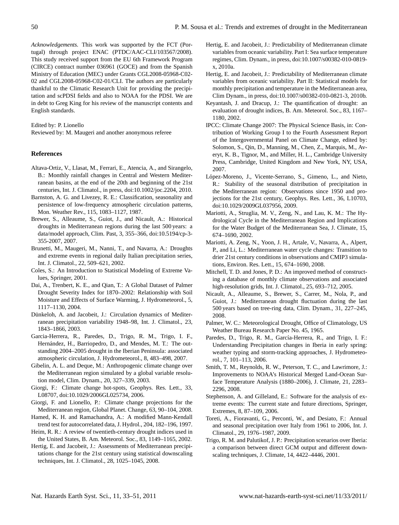*Acknowledgements.* This work was supported by the FCT (Portugal) through project ENAC (PTDC/AAC-CLI/103567/2008). This study received support from the EU 6th Framework Program (CIRCE) contract number 036961 (GOCE) and from the Spanish Ministry of Education (MEC) under Grants CGL2008-05968-C02- 02 and CGL2008-05968-C02-01/CLI. The authors are particularly thankful to the Climatic Research Unit for providing the precipitation and scPDSI fields and also to NOAA for the PDSI. We are in debt to Greg King for his review of the manuscript contents and English standards.

#### Edited by: P. Lionello

Reviewed by: M. Maugeri and another anonymous referee

#### **References**

- Altava-Ortiz, V., Llasat, M., Ferrari, E., Atencia, A., and Sirangelo, B.: Monthly rainfall changes in Central and Western Mediterranean basins, at the end of the 20th and beginning of the 21st centuries, Int. J. Climatol., in press, doi:10.1002/joc.2204, 2010.
- Barnston, A. G. and Livezey, R. E.: Classification, seasonality and persistence of low-frequency atmospheric circulation patterns, Mon. Weather Rev., 115, 1083–1127, 1987.
- Brewer, S., Alleaume, S., Guiot, J., and Nicault, A.: Historical droughts in Mediterranean regions during the last 500 years: a data/model approach, Clim. Past, 3, 355–366, doi:10.5194/cp-3- 355-2007, 2007.
- Brunetti, M., Maugeri, M., Nanni, T., and Navarra, A.: Droughts and extreme events in regional daily Italian precipitation series, Int. J. Climatol., 22, 509–621, 2002.
- Coles, S.: An Introduction to Statistical Modeling of Extreme Values, Springer, 2001.
- Dai, A., Trenbert, K. E., and Qian, T.: A Global Dataset of Palmer Drought Severity Index for 1870–2002: Relationship with Soil Moisture and Effects of Surface Warming, J. Hydrometeorol., 5, 1117–1130, 2004.
- Dünkeloh, A. and Jacobeit, J.: Circulation dynamics of Mediterranean precipitation variability 1948–98, Int. J. Climatol., 23, 1843–1866, 2003.
- Garcia-Herrera, R., Paredes, D., Trigo, R. M., Trigo, I. F., Hernández, H., Barriopedro, D., and Mendes, M. T.: The outstanding 2004–2005 drought in the Iberian Peninsula: associated atmospheric circulation, J. Hydrometeorol., 8, 483–498, 2007.
- Gibelin, A. L. and Deque, M.: Anthropogenic climate change over the Mediterranean region simulated by a global variable resolution model, Clim. Dynam., 20, 327–339, 2003.
- Giorgi, F.: Climate change hot-spots, Geophys. Res. Lett., 33, L08707, doi:10.1029/2006GL025734, 2006.
- Giorgi, F. and Lionello, P.: Climate change projections for the Mediterranean region, Global Planet. Change, 63, 90–104, 2008.
- Hamed, K. H. and Ramachandra, A.: A modified Mann-Kendall trend test for autocorrelated data, J. Hydrol., 204, 182–196, 1997.
- Heim, R. R.: A review of twentieth-century drought indices used in the United States, B. Am. Meteorol. Soc., 83, 1149–1165, 2002.
- Hertig, E. and Jacobeit, J.: Assessments of Mediterranean precipitations change for the 21st century using statistical downscaling techniques, Int. J. Climatol., 28, 1025–1045, 2008.
- Hertig, E. and Jacobeit, J.: Predictability of Mediterranean climate variables from oceanic variability. Part I: Sea surface temperature regimes, Clim. Dynam., in press, doi:10.1007/s00382-010-0819 x, 2010a.
- Hertig, E. and Jacobeit, J.: Predictability of Mediterranean climate variables from oceanic variability. Part II: Statistical models for monthly precipitation and temperature in the Mediterranean area, Clim Dynam., in press, doi:10.1007/s00382-010-0821-3, 2010b.
- Keyantash, J. and Dracup, J.: The quantification of drought: an evaluation of drought indices, B. Am. Meteorol. Soc., 83, 1167– 1180, 2002.
- IPCC: Climate Change 2007: The Physical Science Basis, in: Contribution of Working Group I to the Fourth Assessment Report of the Intergovernmental Panel on Climate Change, edited by: Solomon, S., Qin, D., Manning, M., Chen, Z., Marquis, M., Averyt, K. B., Tignor, M., and Miller, H. L., Cambridge University Press, Cambridge, United Kingdom and New York, NY, USA, 2007.
- López-Moreno, J., Vicente-Serrano, S., Gimeno, L., and Nieto, R.: Stability of the seasonal distribution of precipitation in the Mediterranean region: Observations since 1950 and projections for the 21st century, Geophys. Res. Lett., 36, L10703, doi:10.1029/2009GL037956, 2009.
- Mariotti, A., Struglia, M. V., Zeng, N., and Lau, K. M.: The Hydrological Cycle in the Mediterranean Region and Implications for the Water Budget of the Mediterranean Sea, J. Climate, 15, 674–1690, 2002.
- Mariotti, A. Zeng, N., Yoon, J. H., Artale, V., Navarra, A., Alpert, P., and Li, L.: Mediterranean water cycle changes: Transition to drier 21st century conditions in observations and CMIP3 simulations, Environ. Res. Lett., 15, 674–1690, 2008.
- Mitchell, T. D. and Jones, P. D.: An improved method of constructing a database of monthly climate observations and associated high-resolution grids, Int. J. Climatol., 25, 693–712, 2005.
- Nicault, A., Alleaume, S., Brewer, S., Carrer, M., Nola, P., and Guiot, J.: Mediterranean drought fluctuation during the last 500 years based on tree-ring data, Clim. Dynam., 31, 227–245, 2008.
- Palmer, W. C.: Meteorological Drought, Office of Climatology, US Weather Bureau Research Paper No. 45, 1965.
- Paredes, D., Trigo, R. M., García-Herrera, R., and Trigo, I. F.: Understanding Precipitation changes in Iberia in early spring: weather typing and storm-tracking approaches, J. Hydrometeorol., 7, 101–113, 2006.
- Smith, T. M., Reynolds, R. W., Peterson, T. C., and Lawrimore, J.: Improvements to NOAA's Historical Merged Land-Ocean Surface Temperature Analysis (1880–2006), J. Climate, 21, 2283– 2296, 2008.
- Stephenson, A. and Gilleland, E.: Software for the analysis of extreme events: The current state and future directions, Springer, Extremes, 8, 87–109, 2006.
- Toreti, A., Fioravanti, G., Perconti, W., and Desiato, F.: Annual and seasonal precipitation over Italy from 1961 to 2006, Int. J. Climatol., 29, 1976–1987, 2009.
- Trigo, R. M. and Palutikof, J. P.: Precipitation scenarios over Iberia: a comparison between direct GCM output and different downscaling techniques, J. Climate, 14, 4422–4446, 2001.